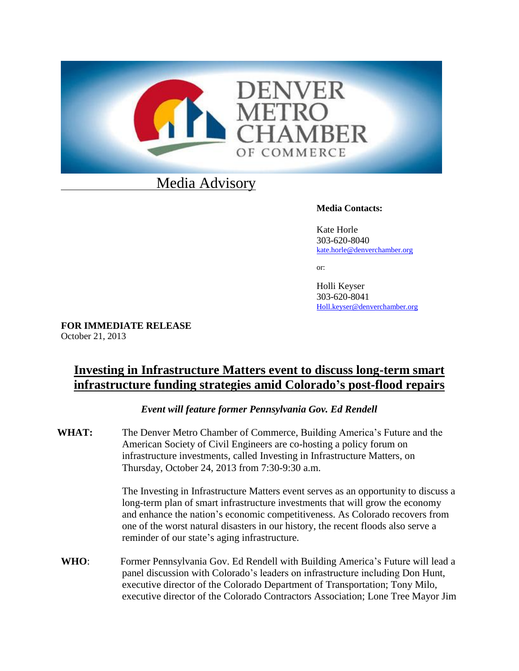

# Media Advisory

### **Media Contacts:**

Kate Horle 303-620-8040 [kate.horle@denverchamber.org](mailto:kate.horle@denverchamber.org)

or:

Holli Keyser 303-620-8041 [Holl.keyser@denverchamber.org](mailto:Holl.keyser@denverchamber.org)

**FOR IMMEDIATE RELEASE** October 21, 2013

## **Investing in Infrastructure Matters event to discuss long-term smart infrastructure funding strategies amid Colorado's post-flood repairs**

*Event will feature former Pennsylvania Gov. Ed Rendell*

**WHAT:** The Denver Metro Chamber of Commerce, Building America's Future and the American Society of Civil Engineers are co-hosting a policy forum on infrastructure investments, called Investing in Infrastructure Matters, on Thursday, October 24, 2013 from 7:30-9:30 a.m.

> The Investing in Infrastructure Matters event serves as an opportunity to discuss a long-term plan of smart infrastructure investments that will grow the economy and enhance the nation's economic competitiveness. As Colorado recovers from one of the worst natural disasters in our history, the recent floods also serve a reminder of our state's aging infrastructure.

**WHO**: Former Pennsylvania Gov. Ed Rendell with Building America's Future will lead a panel discussion with Colorado's leaders on infrastructure including Don Hunt, executive director of the Colorado Department of Transportation; Tony Milo, executive director of the Colorado Contractors Association; Lone Tree Mayor Jim